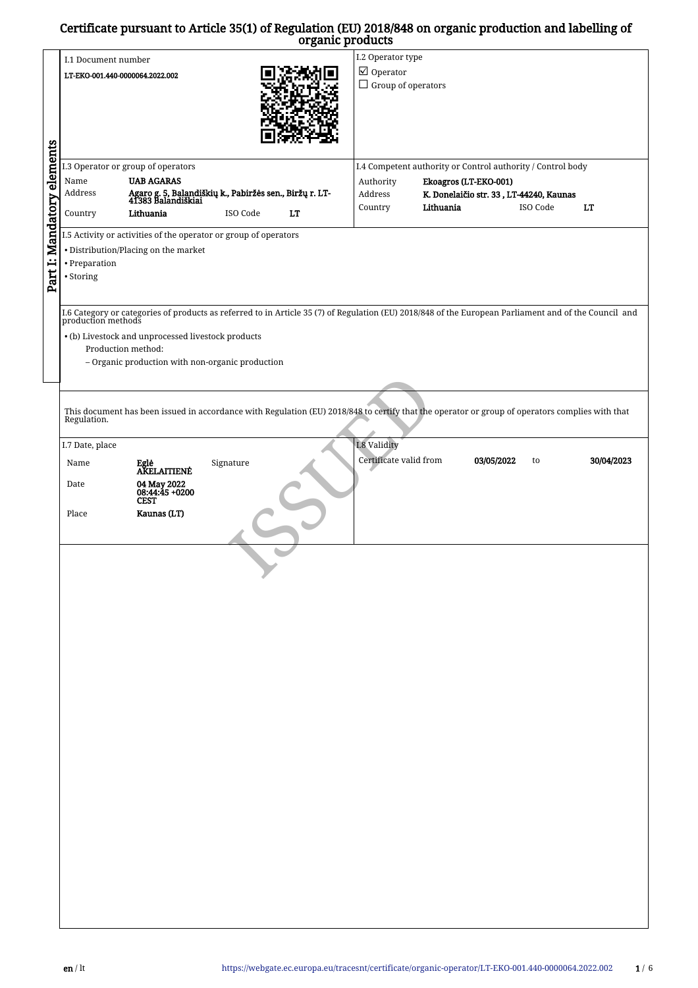## Certificate pursuant to Article 35(1) of Regulation (EU) 2018/848 on organic production and labelling of organic products

|                            |                                                                               |                                                                  |           | organic products          |                        |                                                                                                                                                                             |          |            |  |  |  |
|----------------------------|-------------------------------------------------------------------------------|------------------------------------------------------------------|-----------|---------------------------|------------------------|-----------------------------------------------------------------------------------------------------------------------------------------------------------------------------|----------|------------|--|--|--|
|                            |                                                                               |                                                                  |           |                           | I.2 Operator type      |                                                                                                                                                                             |          |            |  |  |  |
|                            | I.1 Document number                                                           |                                                                  |           |                           |                        |                                                                                                                                                                             |          |            |  |  |  |
|                            | LT-EKO-001.440-0000064.2022.002                                               |                                                                  |           | $\boxtimes$ Operator      |                        |                                                                                                                                                                             |          |            |  |  |  |
|                            |                                                                               |                                                                  |           | $\Box$ Group of operators |                        |                                                                                                                                                                             |          |            |  |  |  |
|                            |                                                                               |                                                                  |           |                           |                        |                                                                                                                                                                             |          |            |  |  |  |
|                            |                                                                               |                                                                  |           |                           |                        |                                                                                                                                                                             |          |            |  |  |  |
|                            |                                                                               |                                                                  |           |                           |                        |                                                                                                                                                                             |          |            |  |  |  |
|                            |                                                                               |                                                                  |           |                           |                        |                                                                                                                                                                             |          |            |  |  |  |
|                            |                                                                               |                                                                  |           |                           |                        |                                                                                                                                                                             |          |            |  |  |  |
|                            |                                                                               |                                                                  |           |                           |                        |                                                                                                                                                                             |          |            |  |  |  |
| Part I: Mandatory elements |                                                                               |                                                                  |           |                           |                        |                                                                                                                                                                             |          |            |  |  |  |
|                            | I.3 Operator or group of operators                                            |                                                                  |           |                           |                        | I.4 Competent authority or Control authority / Control body                                                                                                                 |          |            |  |  |  |
|                            | Name                                                                          | <b>UAB AGARAS</b>                                                |           |                           | Authority              | Ekoagros (LT-EKO-001)                                                                                                                                                       |          |            |  |  |  |
|                            | Agaro g. 5, Balandiškių k., Pabiržės sen., Biržų r. LT-<br>41383 Balandiškiai |                                                                  |           |                           |                        |                                                                                                                                                                             |          |            |  |  |  |
|                            | Address                                                                       |                                                                  |           |                           | Address                | K. Donelaičio str. 33, LT-44240, Kaunas                                                                                                                                     |          |            |  |  |  |
|                            | Country                                                                       | Lithuania                                                        | ISO Code  | LT                        | Country                | Lithuania                                                                                                                                                                   | ISO Code | LT         |  |  |  |
|                            |                                                                               |                                                                  |           |                           |                        |                                                                                                                                                                             |          |            |  |  |  |
|                            |                                                                               | I.5 Activity or activities of the operator or group of operators |           |                           |                        |                                                                                                                                                                             |          |            |  |  |  |
|                            |                                                                               |                                                                  |           |                           |                        |                                                                                                                                                                             |          |            |  |  |  |
|                            |                                                                               | • Distribution/Placing on the market                             |           |                           |                        |                                                                                                                                                                             |          |            |  |  |  |
|                            | • Preparation                                                                 |                                                                  |           |                           |                        |                                                                                                                                                                             |          |            |  |  |  |
|                            | • Storing                                                                     |                                                                  |           |                           |                        |                                                                                                                                                                             |          |            |  |  |  |
|                            |                                                                               |                                                                  |           |                           |                        |                                                                                                                                                                             |          |            |  |  |  |
|                            |                                                                               |                                                                  |           |                           |                        |                                                                                                                                                                             |          |            |  |  |  |
|                            |                                                                               |                                                                  |           |                           |                        |                                                                                                                                                                             |          |            |  |  |  |
|                            |                                                                               |                                                                  |           |                           |                        | 1.6 Category or categories of products as referred to in Article 35 (7) of Regulation (EU) 2018/848 of the European Parliament and of the Council and<br>production methods |          |            |  |  |  |
|                            |                                                                               |                                                                  |           |                           |                        |                                                                                                                                                                             |          |            |  |  |  |
|                            |                                                                               | • (b) Livestock and unprocessed livestock products               |           |                           |                        |                                                                                                                                                                             |          |            |  |  |  |
|                            | Production method:                                                            |                                                                  |           |                           |                        |                                                                                                                                                                             |          |            |  |  |  |
|                            |                                                                               |                                                                  |           |                           |                        |                                                                                                                                                                             |          |            |  |  |  |
|                            |                                                                               | - Organic production with non-organic production                 |           |                           |                        |                                                                                                                                                                             |          |            |  |  |  |
|                            |                                                                               |                                                                  |           |                           |                        |                                                                                                                                                                             |          |            |  |  |  |
|                            |                                                                               |                                                                  |           |                           |                        |                                                                                                                                                                             |          |            |  |  |  |
|                            |                                                                               |                                                                  |           |                           |                        |                                                                                                                                                                             |          |            |  |  |  |
|                            |                                                                               |                                                                  |           |                           |                        | This document has been issued in accordance with Regulation (EU) 2018/848 to certify that the operator or group of operators complies with that                             |          |            |  |  |  |
|                            | Regulation.                                                                   |                                                                  |           |                           |                        |                                                                                                                                                                             |          |            |  |  |  |
|                            |                                                                               |                                                                  |           |                           |                        |                                                                                                                                                                             |          |            |  |  |  |
|                            | I.7 Date, place                                                               |                                                                  |           |                           | I.8 Validity           |                                                                                                                                                                             |          |            |  |  |  |
|                            |                                                                               |                                                                  |           |                           |                        |                                                                                                                                                                             |          |            |  |  |  |
|                            | Name                                                                          | Eglė<br>AKELAITIENĖ                                              | Signature |                           | Certificate valid from | 03/05/2022                                                                                                                                                                  | to       | 30/04/2023 |  |  |  |
|                            |                                                                               |                                                                  |           |                           |                        |                                                                                                                                                                             |          |            |  |  |  |
|                            | Date                                                                          | 04 May 2022<br>08:44:45 +0200                                    |           |                           |                        |                                                                                                                                                                             |          |            |  |  |  |
|                            |                                                                               | <b>CEST</b>                                                      |           |                           |                        |                                                                                                                                                                             |          |            |  |  |  |
|                            |                                                                               |                                                                  |           |                           |                        |                                                                                                                                                                             |          |            |  |  |  |
|                            | Place                                                                         | Kaunas (LT)                                                      |           | $\mathbb{R}^2$            |                        |                                                                                                                                                                             |          |            |  |  |  |
|                            |                                                                               |                                                                  |           |                           |                        |                                                                                                                                                                             |          |            |  |  |  |
|                            |                                                                               |                                                                  |           |                           |                        |                                                                                                                                                                             |          |            |  |  |  |
|                            |                                                                               |                                                                  |           |                           |                        |                                                                                                                                                                             |          |            |  |  |  |
|                            |                                                                               |                                                                  |           |                           |                        |                                                                                                                                                                             |          |            |  |  |  |
|                            |                                                                               |                                                                  |           |                           |                        |                                                                                                                                                                             |          |            |  |  |  |
|                            |                                                                               |                                                                  |           |                           |                        |                                                                                                                                                                             |          |            |  |  |  |
|                            |                                                                               |                                                                  |           |                           |                        |                                                                                                                                                                             |          |            |  |  |  |
|                            |                                                                               |                                                                  |           |                           |                        |                                                                                                                                                                             |          |            |  |  |  |
|                            |                                                                               |                                                                  |           |                           |                        |                                                                                                                                                                             |          |            |  |  |  |
|                            |                                                                               |                                                                  |           |                           |                        |                                                                                                                                                                             |          |            |  |  |  |
|                            |                                                                               |                                                                  |           |                           |                        |                                                                                                                                                                             |          |            |  |  |  |
|                            |                                                                               |                                                                  |           |                           |                        |                                                                                                                                                                             |          |            |  |  |  |
|                            |                                                                               |                                                                  |           |                           |                        |                                                                                                                                                                             |          |            |  |  |  |
|                            |                                                                               |                                                                  |           |                           |                        |                                                                                                                                                                             |          |            |  |  |  |
|                            |                                                                               |                                                                  |           |                           |                        |                                                                                                                                                                             |          |            |  |  |  |
|                            |                                                                               |                                                                  |           |                           |                        |                                                                                                                                                                             |          |            |  |  |  |
|                            |                                                                               |                                                                  |           |                           |                        |                                                                                                                                                                             |          |            |  |  |  |
|                            |                                                                               |                                                                  |           |                           |                        |                                                                                                                                                                             |          |            |  |  |  |
|                            |                                                                               |                                                                  |           |                           |                        |                                                                                                                                                                             |          |            |  |  |  |
|                            |                                                                               |                                                                  |           |                           |                        |                                                                                                                                                                             |          |            |  |  |  |
|                            |                                                                               |                                                                  |           |                           |                        |                                                                                                                                                                             |          |            |  |  |  |
|                            |                                                                               |                                                                  |           |                           |                        |                                                                                                                                                                             |          |            |  |  |  |
|                            |                                                                               |                                                                  |           |                           |                        |                                                                                                                                                                             |          |            |  |  |  |
|                            |                                                                               |                                                                  |           |                           |                        |                                                                                                                                                                             |          |            |  |  |  |
|                            |                                                                               |                                                                  |           |                           |                        |                                                                                                                                                                             |          |            |  |  |  |
|                            |                                                                               |                                                                  |           |                           |                        |                                                                                                                                                                             |          |            |  |  |  |
|                            |                                                                               |                                                                  |           |                           |                        |                                                                                                                                                                             |          |            |  |  |  |
|                            |                                                                               |                                                                  |           |                           |                        |                                                                                                                                                                             |          |            |  |  |  |
|                            |                                                                               |                                                                  |           |                           |                        |                                                                                                                                                                             |          |            |  |  |  |
|                            |                                                                               |                                                                  |           |                           |                        |                                                                                                                                                                             |          |            |  |  |  |
|                            |                                                                               |                                                                  |           |                           |                        |                                                                                                                                                                             |          |            |  |  |  |
|                            |                                                                               |                                                                  |           |                           |                        |                                                                                                                                                                             |          |            |  |  |  |
|                            |                                                                               |                                                                  |           |                           |                        |                                                                                                                                                                             |          |            |  |  |  |
|                            |                                                                               |                                                                  |           |                           |                        |                                                                                                                                                                             |          |            |  |  |  |
|                            |                                                                               |                                                                  |           |                           |                        |                                                                                                                                                                             |          |            |  |  |  |
|                            |                                                                               |                                                                  |           |                           |                        |                                                                                                                                                                             |          |            |  |  |  |
|                            |                                                                               |                                                                  |           |                           |                        |                                                                                                                                                                             |          |            |  |  |  |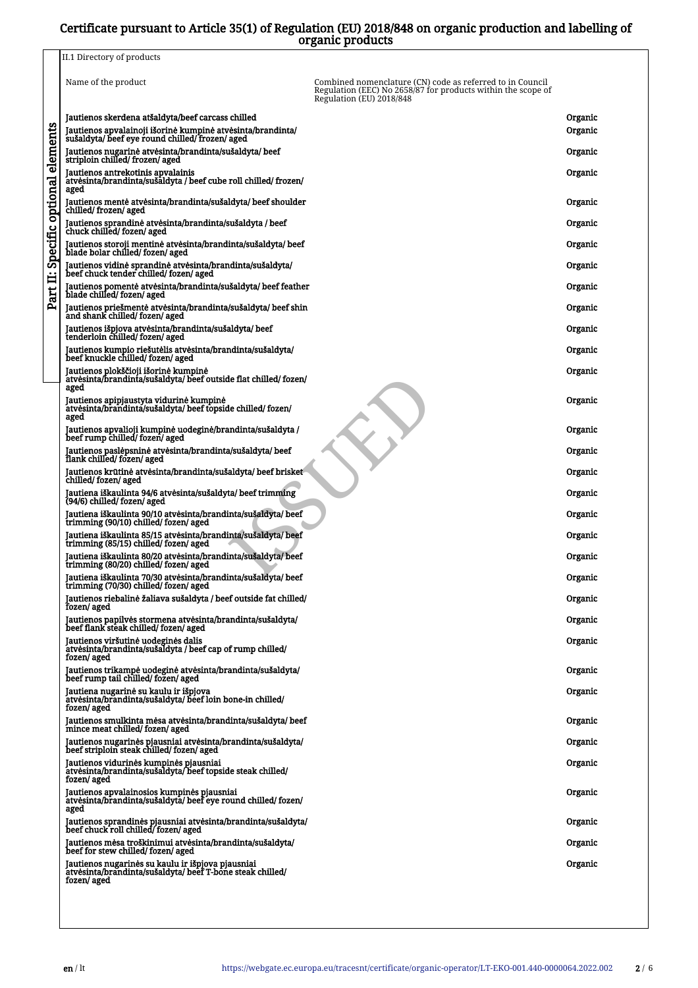## Certificate pursuant to Article 35(1) of Regulation (EU) 2018/848 on organic production and labelling of organic products

|                   | urganne prouueto                                                                                                              |                                                                                                                                                       |         |
|-------------------|-------------------------------------------------------------------------------------------------------------------------------|-------------------------------------------------------------------------------------------------------------------------------------------------------|---------|
|                   | II.1 Directory of products                                                                                                    |                                                                                                                                                       |         |
|                   | Name of the product                                                                                                           | Combined nomenclature (CN) code as referred to in Council<br>Regulation (EEC) No 2658/87 for products within the scope of<br>Regulation (EU) 2018/848 |         |
| elements          | Jautienos skerdena atšaldyta/beef carcass chilled                                                                             |                                                                                                                                                       | Organic |
|                   | Jautienos apvalainoji išorinė kumpinė atvėsinta/brandinta/<br>sušaldyta/ beef eye round chilled/frozen/ aged                  |                                                                                                                                                       | Organic |
|                   | Jautienos nugarinė atvėsinta/brandinta/sušaldyta/ beef<br>striploin chilled/frozen/aged                                       |                                                                                                                                                       | Organic |
|                   | Jautienos antrekotinis apvalainis<br>atvėsinta/brandinta/sušaldyta / beef cube roll chilled/ frozen/<br>aged                  |                                                                                                                                                       | Organic |
| Specific optional | Jautienos mentė atvėsinta/brandinta/sušaldyta/ beef shoulder<br>chilled/frozen/aged                                           |                                                                                                                                                       | Organic |
|                   | Jautienos sprandinė atvėsinta/brandinta/sušaldyta / beef<br>chuck chilled/fozen/aged                                          |                                                                                                                                                       | Organic |
|                   | Jautienos storoji mentinė atvėsinta/brandinta/sušaldyta/ beef<br>blade bolar chilled/fozen/aged                               |                                                                                                                                                       | Organic |
| Ë                 | Jautienos vidinė sprandinė atvėsinta/brandinta/sušaldyta/<br>beef chuck tender chilled/ fozen/ aged                           |                                                                                                                                                       | Organic |
| Part              | Jautienos pomentė atvėsinta/brandinta/sušaldyta/ beef feather<br>blade chilled/fozen/aged                                     |                                                                                                                                                       | Organic |
|                   | Jautienos priešmentė atvėsinta/brandinta/sušaldyta/ beef shin<br>and shank chilled/fozen/aged                                 |                                                                                                                                                       | Organic |
|                   | Jautienos išpjova atvėsinta/brandinta/sušaldyta/ beef<br>tenderloin chilled/ fozen/ aged                                      |                                                                                                                                                       | Organic |
|                   | Jautienos kumpio riešutėlis atvėsinta/brandinta/sušaldyta/<br>beef knuckle chilled/ fozen/ aged                               |                                                                                                                                                       | Organic |
|                   | Jautienos plokščioji išorinė kumpinė<br>atvesinta/brandinta/sušaldyta/ beef outside flat chilled/ fozen/<br>aged              |                                                                                                                                                       | Organic |
|                   | Jautienos apipjaustyta vidurinė kumpinė<br>atvėsinta/brandinta/sušaldyta/ beef topside chilled/ fozen/<br>aged                |                                                                                                                                                       | Organic |
|                   | Jautienos apvalioji kumpinė uodeginė/brandinta/sušaldyta /<br>beef rump chilled/fozen/aged                                    |                                                                                                                                                       | Organic |
|                   | Jautienos paslėpsninė atvėsinta/brandinta/sušaldyta/ beef<br>flank chilled/fozen/aged                                         |                                                                                                                                                       | Organic |
|                   | Jautienos krūtinė atvėsinta/brandinta/sušaldyta/ beef brisket<br>chilled/fozen/aged                                           |                                                                                                                                                       | Organic |
|                   | Jautiena iškaulinta 94/6 atvėsinta/sušaldyta/ beef trimming<br>(94/6) chilled/ fozen/ aged                                    |                                                                                                                                                       | Organic |
|                   | Jautiena iškaulinta 90/10 atvėsinta/brandinta/sušaldyta/ beef<br>trimming (90/10) chilled/ fozen/ aged                        |                                                                                                                                                       | Organic |
|                   | Jautiena iškaulinta 85/15 atvėsinta/brandinta/sušaldyta/beef<br>trimming (85/15) chilled/fozen/aged                           |                                                                                                                                                       | Organic |
|                   | Jautiena iškaulinta 80/20 atvėsinta/brandinta/sušaldyta/ beef<br>trimming (80/20) chilled/fozen/aged                          |                                                                                                                                                       | Organic |
|                   | Jautiena iškaulinta 70/30 atvesinta/brandinta/sušaldyta/ beef<br>trimming (70/30) chilled/fozen/aged                          |                                                                                                                                                       | Organic |
|                   | Jautienos riebalinė žaliava sušaldyta / beef outside fat chilled/<br>fozen/aged                                               |                                                                                                                                                       | Organic |
|                   | Jautienos papilvės stormena atvėsinta/brandinta/sušaldyta/<br>beef flank steak chilled/fozen/aged                             |                                                                                                                                                       | Organic |
|                   | Jautienos viršutinė uodeginės dalis<br>atvėsinta/brandinta/sušaldyta / beef cap of rump chilled/<br>fozen/aged                |                                                                                                                                                       | Organic |
|                   | Jautienos trikampė uodeginė atvėsinta/brandinta/sušaldyta/<br>beef rump tail chilled/ fozen/ aged                             |                                                                                                                                                       | Organic |
|                   | Jautiena nugarinė su kaulu ir išpjova<br>atvėsinta/brandinta/sušaldyta/ beef loin bone-in chilled/<br>fozen/ aged             |                                                                                                                                                       | Organic |
|                   | Jautienos smulkinta mėsa atvėsinta/brandinta/sušaldyta/ beef<br>mince meat chilled/ fozen/ aged                               |                                                                                                                                                       | Organic |
|                   | Jautienos nugarinės pjausniai atvėsinta/brandinta/sušaldyta/<br>beef striploin steak chilled/fozen/ aged                      |                                                                                                                                                       | Organic |
|                   | Jautienos vidurinės kumpinės pjausniai<br>atvėsinta/brandinta/sušaldyta/ beef topside steak chilled/<br>fozen/ aged           |                                                                                                                                                       | Organic |
|                   | Jautienos apvalainosios kumpinės pjausniai<br>atvėsinta/brandinta/sušaldyta/ beef eye round chilled/ fozen/<br>aged           |                                                                                                                                                       | Organic |
|                   | Jautienos sprandinės pjausniai atvėsinta/brandinta/sušaldyta/<br>beef chuck roll chilled/ fozen/ aged                         |                                                                                                                                                       | Organic |
|                   | Jautienos mėsa troškinimui atvėsinta/brandinta/sušaldyta/<br>beef for stew chilled/ fozen/ aged                               |                                                                                                                                                       | Organic |
|                   | Jautienos nugarinės su kaulu ir išpjova pjausniai<br>atvėsinta/brandinta/sušaldyta/ beef T-bone steak chilled/<br>fozen/ aged |                                                                                                                                                       | Organic |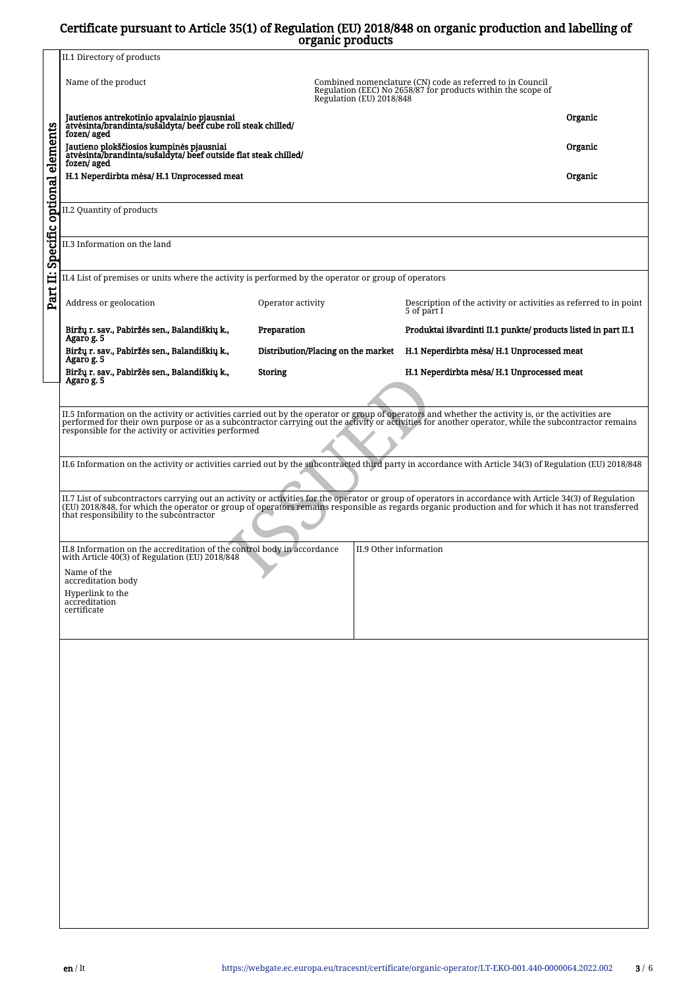## Certificate pursuant to Article 35(1) of Regulation (EU) 2018/848 on organic production and labelling of organic products

|                              |                                                                                                                                                                                                                                                                                                                                                                    | organic products                   |                                                                                  |         |  |  |  |  |  |
|------------------------------|--------------------------------------------------------------------------------------------------------------------------------------------------------------------------------------------------------------------------------------------------------------------------------------------------------------------------------------------------------------------|------------------------------------|----------------------------------------------------------------------------------|---------|--|--|--|--|--|
|                              | II.1 Directory of products                                                                                                                                                                                                                                                                                                                                         |                                    |                                                                                  |         |  |  |  |  |  |
|                              | Name of the product<br>Combined nomenclature (CN) code as referred to in Council<br>Regulation (EEC) No 2658/87 for products within the scope of<br>Regulation (EU) 2018/848                                                                                                                                                                                       |                                    |                                                                                  |         |  |  |  |  |  |
|                              | Jautienos antrekotinio apvalainio pjausniai<br>atvesinta/brandinta/sušaldyta/ beef cube roll steak chilled/<br>fozen/aged                                                                                                                                                                                                                                          |                                    |                                                                                  | Organic |  |  |  |  |  |
|                              | Jautieno plokščiosios kumpinės pjausniai<br>atvėsinta/brandinta/sušaldyta/beef outside flat steak chilled/<br>fozen/ aged                                                                                                                                                                                                                                          |                                    |                                                                                  | Organic |  |  |  |  |  |
|                              | H.1 Neperdirbta mėsa/H.1 Unprocessed meat                                                                                                                                                                                                                                                                                                                          |                                    |                                                                                  | Organic |  |  |  |  |  |
| Specific optional elements   | II.2 Quantity of products                                                                                                                                                                                                                                                                                                                                          |                                    |                                                                                  |         |  |  |  |  |  |
| II.3 Information on the land |                                                                                                                                                                                                                                                                                                                                                                    |                                    |                                                                                  |         |  |  |  |  |  |
|                              | II.4 List of premises or units where the activity is performed by the operator or group of operators                                                                                                                                                                                                                                                               |                                    |                                                                                  |         |  |  |  |  |  |
| Part II:                     | Address or geolocation                                                                                                                                                                                                                                                                                                                                             | Operator activity                  | Description of the activity or activities as referred to in point<br>5 of part I |         |  |  |  |  |  |
|                              | Biržų r. sav., Pabiržės sen., Balandiškių k.,<br>Agaro g. 5                                                                                                                                                                                                                                                                                                        | Preparation                        | Produktai išvardinti II.1 punkte/ products listed in part II.1                   |         |  |  |  |  |  |
|                              | Biržų r. sav., Pabiržės sen., Balandiškių k.,<br>Agaro g. 5                                                                                                                                                                                                                                                                                                        | Distribution/Placing on the market | H.1 Neperdirbta mėsa/ H.1 Unprocessed meat                                       |         |  |  |  |  |  |
|                              | Biržų r. sav., Pabiržės sen., Balandiškių k.,<br>Agaro g. 5                                                                                                                                                                                                                                                                                                        | Storing                            | H.1 Neperdirbta mėsa/ H.1 Unprocessed meat                                       |         |  |  |  |  |  |
|                              |                                                                                                                                                                                                                                                                                                                                                                    |                                    |                                                                                  |         |  |  |  |  |  |
|                              | II.5 Information on the activity or activities carried out by the operator or group of operators and whether the activity is, or the activities are<br>performed for their own purpose or as a subcontractor carrying out the activity or activities for another operator, while the subcontractor remains<br>responsible for the activity or activities performed |                                    |                                                                                  |         |  |  |  |  |  |
|                              | II.6 Information on the activity or activities carried out by the subcontracted third party in accordance with Article 34(3) of Regulation (EU) 2018/848                                                                                                                                                                                                           |                                    |                                                                                  |         |  |  |  |  |  |
|                              | II.7 List of subcontractors carrying out an activity or activities for the operator or group of operators in accordance with Article 34(3) of Regulation<br>(EU) 2018/848, for which the operator or group of operators remains responsible as regards organic production and for which it has not transferred<br>that responsibility to the subcontractor         |                                    |                                                                                  |         |  |  |  |  |  |
|                              | II.8 Information on the accreditation of the control body in accordance<br>with Article 40(3) of Regulation (EU) 2018/848                                                                                                                                                                                                                                          |                                    | II.9 Other information                                                           |         |  |  |  |  |  |
|                              | Name of the<br>accreditation body                                                                                                                                                                                                                                                                                                                                  |                                    |                                                                                  |         |  |  |  |  |  |
|                              | Hyperlink to the<br>accreditation                                                                                                                                                                                                                                                                                                                                  |                                    |                                                                                  |         |  |  |  |  |  |
|                              | certificate                                                                                                                                                                                                                                                                                                                                                        |                                    |                                                                                  |         |  |  |  |  |  |
|                              |                                                                                                                                                                                                                                                                                                                                                                    |                                    |                                                                                  |         |  |  |  |  |  |
|                              |                                                                                                                                                                                                                                                                                                                                                                    |                                    |                                                                                  |         |  |  |  |  |  |
|                              |                                                                                                                                                                                                                                                                                                                                                                    |                                    |                                                                                  |         |  |  |  |  |  |
|                              |                                                                                                                                                                                                                                                                                                                                                                    |                                    |                                                                                  |         |  |  |  |  |  |
|                              |                                                                                                                                                                                                                                                                                                                                                                    |                                    |                                                                                  |         |  |  |  |  |  |
|                              |                                                                                                                                                                                                                                                                                                                                                                    |                                    |                                                                                  |         |  |  |  |  |  |
|                              |                                                                                                                                                                                                                                                                                                                                                                    |                                    |                                                                                  |         |  |  |  |  |  |
|                              |                                                                                                                                                                                                                                                                                                                                                                    |                                    |                                                                                  |         |  |  |  |  |  |
|                              |                                                                                                                                                                                                                                                                                                                                                                    |                                    |                                                                                  |         |  |  |  |  |  |
|                              |                                                                                                                                                                                                                                                                                                                                                                    |                                    |                                                                                  |         |  |  |  |  |  |
|                              |                                                                                                                                                                                                                                                                                                                                                                    |                                    |                                                                                  |         |  |  |  |  |  |
|                              |                                                                                                                                                                                                                                                                                                                                                                    |                                    |                                                                                  |         |  |  |  |  |  |
|                              |                                                                                                                                                                                                                                                                                                                                                                    |                                    |                                                                                  |         |  |  |  |  |  |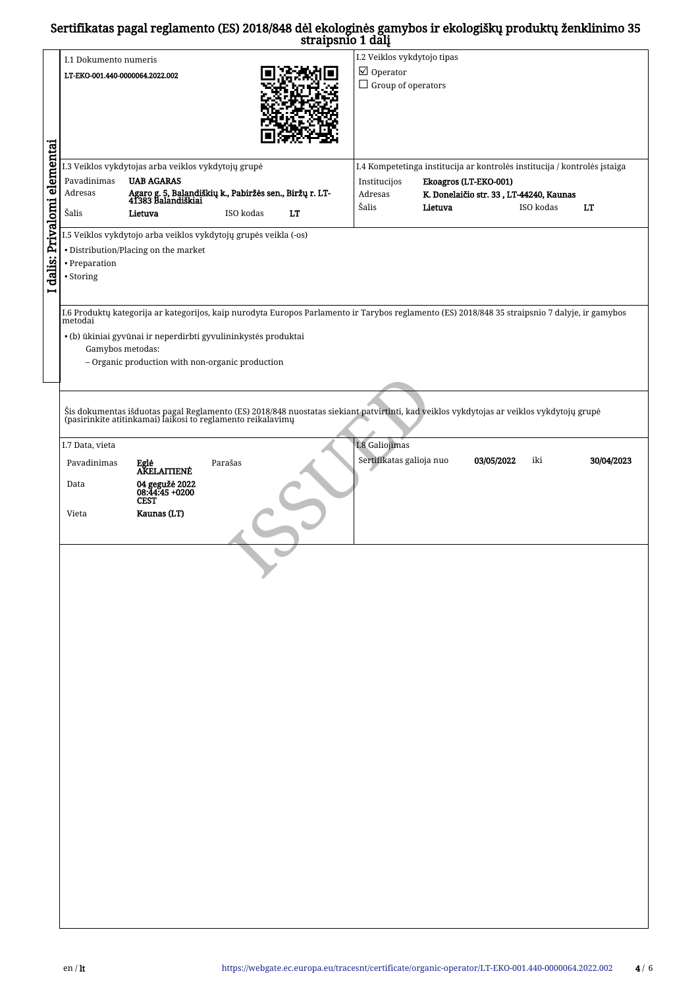## Sertifikatas pagal reglamento (ES) 2018/848 dėl ekologinės gamybos ir ekologiškų produktų ženklinimo 35 straipsnio 1 dalį

|                            |                                                                                          |                                                                  |           | straipsino i dalį                                  |                             |                       |                                                                                                                                                                                                         |            |
|----------------------------|------------------------------------------------------------------------------------------|------------------------------------------------------------------|-----------|----------------------------------------------------|-----------------------------|-----------------------|---------------------------------------------------------------------------------------------------------------------------------------------------------------------------------------------------------|------------|
|                            | I.1 Dokumento numeris                                                                    |                                                                  |           |                                                    | I.2 Veiklos vykdytojo tipas |                       |                                                                                                                                                                                                         |            |
|                            |                                                                                          |                                                                  |           |                                                    |                             |                       |                                                                                                                                                                                                         |            |
|                            | LT-EKO-001.440-0000064.2022.002                                                          |                                                                  |           | $\boxtimes$ Operator                               |                             |                       |                                                                                                                                                                                                         |            |
|                            |                                                                                          |                                                                  |           | $\Box$ Group of operators                          |                             |                       |                                                                                                                                                                                                         |            |
|                            |                                                                                          |                                                                  |           |                                                    |                             |                       |                                                                                                                                                                                                         |            |
|                            |                                                                                          |                                                                  |           |                                                    |                             |                       |                                                                                                                                                                                                         |            |
|                            |                                                                                          |                                                                  |           |                                                    |                             |                       |                                                                                                                                                                                                         |            |
|                            |                                                                                          |                                                                  |           |                                                    |                             |                       |                                                                                                                                                                                                         |            |
|                            |                                                                                          |                                                                  |           |                                                    |                             |                       |                                                                                                                                                                                                         |            |
|                            |                                                                                          |                                                                  |           |                                                    |                             |                       |                                                                                                                                                                                                         |            |
| dalis: Privalomi elementai |                                                                                          |                                                                  |           |                                                    |                             |                       |                                                                                                                                                                                                         |            |
|                            |                                                                                          | I.3 Veiklos vykdytojas arba veiklos vykdytojų grupė              |           |                                                    |                             |                       | I.4 Kompetetinga institucija ar kontrolės institucija / kontrolės įstaiga                                                                                                                               |            |
|                            | Pavadinimas                                                                              | <b>UAB AGARAS</b>                                                |           |                                                    | Institucijos                | Ekoagros (LT-EKO-001) |                                                                                                                                                                                                         |            |
|                            | Agaro g. 5, Balandiškių k., Pabiržės sen., Biržų r. LT-<br>41383 Balandiškiai<br>Adresas |                                                                  |           | K. Donelaičio str. 33, LT-44240, Kaunas<br>Adresas |                             |                       |                                                                                                                                                                                                         |            |
|                            |                                                                                          |                                                                  |           |                                                    | Šalis                       | Lietuva               | ISO kodas                                                                                                                                                                                               | LT         |
|                            | Šalis                                                                                    | Lietuva                                                          | ISO kodas | LT                                                 |                             |                       |                                                                                                                                                                                                         |            |
|                            |                                                                                          |                                                                  |           |                                                    |                             |                       |                                                                                                                                                                                                         |            |
|                            |                                                                                          | I.5 Veiklos vykdytojo arba veiklos vykdytojų grupės veikla (-os) |           |                                                    |                             |                       |                                                                                                                                                                                                         |            |
|                            |                                                                                          | • Distribution/Placing on the market                             |           |                                                    |                             |                       |                                                                                                                                                                                                         |            |
|                            |                                                                                          |                                                                  |           |                                                    |                             |                       |                                                                                                                                                                                                         |            |
|                            | • Preparation                                                                            |                                                                  |           |                                                    |                             |                       |                                                                                                                                                                                                         |            |
|                            | • Storing                                                                                |                                                                  |           |                                                    |                             |                       |                                                                                                                                                                                                         |            |
|                            |                                                                                          |                                                                  |           |                                                    |                             |                       |                                                                                                                                                                                                         |            |
|                            |                                                                                          |                                                                  |           |                                                    |                             |                       |                                                                                                                                                                                                         |            |
|                            |                                                                                          |                                                                  |           |                                                    |                             |                       | I.6 Produktų kategorija ar kategorijos, kaip nurodyta Europos Parlamento ir Tarybos reglamento (ES) 2018/848 35 straipsnio 7 dalyje, ir gamybos                                                         |            |
|                            | metodai                                                                                  |                                                                  |           |                                                    |                             |                       |                                                                                                                                                                                                         |            |
|                            |                                                                                          | · (b) ūkiniai gyvūnai ir neperdirbti gyvulininkystės produktai   |           |                                                    |                             |                       |                                                                                                                                                                                                         |            |
|                            |                                                                                          |                                                                  |           |                                                    |                             |                       |                                                                                                                                                                                                         |            |
|                            | Gamybos metodas:                                                                         |                                                                  |           |                                                    |                             |                       |                                                                                                                                                                                                         |            |
|                            |                                                                                          | - Organic production with non-organic production                 |           |                                                    |                             |                       |                                                                                                                                                                                                         |            |
|                            |                                                                                          |                                                                  |           |                                                    |                             |                       |                                                                                                                                                                                                         |            |
|                            |                                                                                          |                                                                  |           |                                                    |                             |                       |                                                                                                                                                                                                         |            |
|                            |                                                                                          |                                                                  |           |                                                    |                             |                       |                                                                                                                                                                                                         |            |
|                            |                                                                                          |                                                                  |           |                                                    |                             |                       | Šis dokumentas išduotas pagal Reglamento (ES) 2018/848 nuostatas siekiant patvirtinti, kad veiklos vykdytojas ar veiklos vykdytojų grupė<br>(pasirinkite atitinkamai) laikosi to reglamento reikalavimų |            |
|                            |                                                                                          |                                                                  |           |                                                    |                             |                       |                                                                                                                                                                                                         |            |
|                            |                                                                                          |                                                                  |           |                                                    |                             |                       |                                                                                                                                                                                                         |            |
|                            | I.7 Data, vieta                                                                          |                                                                  |           |                                                    | I.8 Galiojimas              |                       |                                                                                                                                                                                                         |            |
|                            |                                                                                          |                                                                  |           |                                                    |                             |                       |                                                                                                                                                                                                         |            |
|                            | Pavadinimas                                                                              | Eglė<br>AKELAITIENĖ                                              | Parašas   |                                                    | Sertifikatas galioja nuo    |                       | 03/05/2022<br>iki                                                                                                                                                                                       | 30/04/2023 |
|                            |                                                                                          |                                                                  |           |                                                    |                             |                       |                                                                                                                                                                                                         |            |
|                            | Data                                                                                     | 04 gegužė 2022<br>08:44:45 +0200                                 |           |                                                    |                             |                       |                                                                                                                                                                                                         |            |
|                            |                                                                                          | <b>CEST</b>                                                      |           |                                                    |                             |                       |                                                                                                                                                                                                         |            |
|                            |                                                                                          |                                                                  |           |                                                    |                             |                       |                                                                                                                                                                                                         |            |
|                            | Vieta                                                                                    | Kaunas (LT)                                                      |           |                                                    |                             |                       |                                                                                                                                                                                                         |            |
|                            |                                                                                          |                                                                  |           |                                                    |                             |                       |                                                                                                                                                                                                         |            |
|                            |                                                                                          |                                                                  |           |                                                    |                             |                       |                                                                                                                                                                                                         |            |
|                            |                                                                                          |                                                                  |           |                                                    |                             |                       |                                                                                                                                                                                                         |            |
|                            |                                                                                          |                                                                  |           |                                                    |                             |                       |                                                                                                                                                                                                         |            |
|                            |                                                                                          |                                                                  |           |                                                    |                             |                       |                                                                                                                                                                                                         |            |
|                            |                                                                                          |                                                                  |           |                                                    |                             |                       |                                                                                                                                                                                                         |            |
|                            |                                                                                          |                                                                  |           |                                                    |                             |                       |                                                                                                                                                                                                         |            |
|                            |                                                                                          |                                                                  |           |                                                    |                             |                       |                                                                                                                                                                                                         |            |
|                            |                                                                                          |                                                                  |           |                                                    |                             |                       |                                                                                                                                                                                                         |            |
|                            |                                                                                          |                                                                  |           |                                                    |                             |                       |                                                                                                                                                                                                         |            |
|                            |                                                                                          |                                                                  |           |                                                    |                             |                       |                                                                                                                                                                                                         |            |
|                            |                                                                                          |                                                                  |           |                                                    |                             |                       |                                                                                                                                                                                                         |            |
|                            |                                                                                          |                                                                  |           |                                                    |                             |                       |                                                                                                                                                                                                         |            |
|                            |                                                                                          |                                                                  |           |                                                    |                             |                       |                                                                                                                                                                                                         |            |
|                            |                                                                                          |                                                                  |           |                                                    |                             |                       |                                                                                                                                                                                                         |            |
|                            |                                                                                          |                                                                  |           |                                                    |                             |                       |                                                                                                                                                                                                         |            |
|                            |                                                                                          |                                                                  |           |                                                    |                             |                       |                                                                                                                                                                                                         |            |
|                            |                                                                                          |                                                                  |           |                                                    |                             |                       |                                                                                                                                                                                                         |            |
|                            |                                                                                          |                                                                  |           |                                                    |                             |                       |                                                                                                                                                                                                         |            |
|                            |                                                                                          |                                                                  |           |                                                    |                             |                       |                                                                                                                                                                                                         |            |
|                            |                                                                                          |                                                                  |           |                                                    |                             |                       |                                                                                                                                                                                                         |            |
|                            |                                                                                          |                                                                  |           |                                                    |                             |                       |                                                                                                                                                                                                         |            |
|                            |                                                                                          |                                                                  |           |                                                    |                             |                       |                                                                                                                                                                                                         |            |
|                            |                                                                                          |                                                                  |           |                                                    |                             |                       |                                                                                                                                                                                                         |            |
|                            |                                                                                          |                                                                  |           |                                                    |                             |                       |                                                                                                                                                                                                         |            |
|                            |                                                                                          |                                                                  |           |                                                    |                             |                       |                                                                                                                                                                                                         |            |
|                            |                                                                                          |                                                                  |           |                                                    |                             |                       |                                                                                                                                                                                                         |            |
|                            |                                                                                          |                                                                  |           |                                                    |                             |                       |                                                                                                                                                                                                         |            |
|                            |                                                                                          |                                                                  |           |                                                    |                             |                       |                                                                                                                                                                                                         |            |
|                            |                                                                                          |                                                                  |           |                                                    |                             |                       |                                                                                                                                                                                                         |            |
|                            |                                                                                          |                                                                  |           |                                                    |                             |                       |                                                                                                                                                                                                         |            |
|                            |                                                                                          |                                                                  |           |                                                    |                             |                       |                                                                                                                                                                                                         |            |
|                            |                                                                                          |                                                                  |           |                                                    |                             |                       |                                                                                                                                                                                                         |            |
|                            |                                                                                          |                                                                  |           |                                                    |                             |                       |                                                                                                                                                                                                         |            |
|                            |                                                                                          |                                                                  |           |                                                    |                             |                       |                                                                                                                                                                                                         |            |
|                            |                                                                                          |                                                                  |           |                                                    |                             |                       |                                                                                                                                                                                                         |            |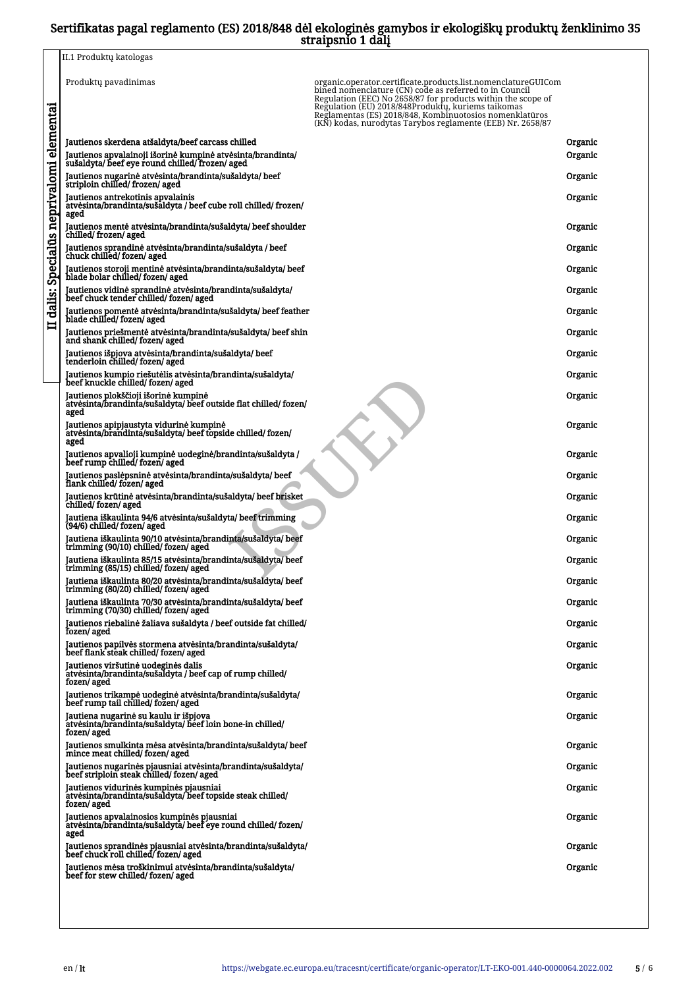## Sertifikatas pagal reglamento (ES) 2018/848 dėl ekologinės gamybos ir ekologiškų produktų ženklinimo 35 straipsnio 1 dalį

|                                 | ---- - -                                                                                                                                                                                                                                                                                                                                                                                       |                    |
|---------------------------------|------------------------------------------------------------------------------------------------------------------------------------------------------------------------------------------------------------------------------------------------------------------------------------------------------------------------------------------------------------------------------------------------|--------------------|
|                                 | II.1 Produktų katologas                                                                                                                                                                                                                                                                                                                                                                        |                    |
|                                 | Produktų pavadinimas<br>organic.operator.certificate.products.list.nomenclatureGUICom<br>bined nomenclature (CN) code as referred to in Council<br>Regulation (EEC) No 2658/87 for products within the scope of<br>Regulation (EU) 2018/848Produktų, kuriems taikomas<br>Reglamentas (ES) 2018/848, Kombinuotosios nomenklatūros<br>(KN) kodas, nurodytas Tarybos reglamente (EEB) Nr. 2658/87 |                    |
| Specialūs neprivalomi elementai | Jautienos skerdena atšaldyta/beef carcass chilled<br>Jautienos apvalainoji išorinė kumpinė atvėsinta/brandinta/<br>sušaldyta/ beef eye round chilled/ frozen/ aged                                                                                                                                                                                                                             | Organic<br>Organic |
|                                 | Jautienos nugarinė atvėsinta/brandinta/sušaldyta/beef<br>striploin chilled/frozen/aged                                                                                                                                                                                                                                                                                                         | Organic            |
|                                 | Jautienos antrekotinis apvalainis<br>atvėsinta/brandinta/sušaldyta / beef cube roll chilled/ frozen/<br>aged                                                                                                                                                                                                                                                                                   | Organic            |
|                                 | Jautienos mentė atvėsinta/brandinta/sušaldyta/ beef shoulder<br>chilled/frozen/aged                                                                                                                                                                                                                                                                                                            | Organic            |
|                                 | Jautienos sprandinė atvėsinta/brandinta/sušaldyta / beef<br>chuck chilled/fozen/aged                                                                                                                                                                                                                                                                                                           | Organic            |
|                                 | Jautienos storoji mentinė atvėsinta/brandinta/sušaldyta/ beef<br>blade bolar chilled/fozen/aged                                                                                                                                                                                                                                                                                                | Organic            |
|                                 | Jautienos vidinė sprandinė atvėsinta/brandinta/sušaldyta/<br>beef chuck tender chilled/fozen/aged                                                                                                                                                                                                                                                                                              | Organic            |
| dalis:                          | Jautienos pomentė atvėsinta/brandinta/sušaldyta/ beef feather<br>blade chilled/ fozen/ aged                                                                                                                                                                                                                                                                                                    | Organic            |
| $\blacksquare$                  | Jautienos priešmentė atvėsinta/brandinta/sušaldyta/ beef shin<br>and shank chilled/fozen/aged                                                                                                                                                                                                                                                                                                  | Organic            |
|                                 | Jautienos išpjova atvėsinta/brandinta/sušaldyta/ beef<br>tenderloin chilled/ fozen/ aged                                                                                                                                                                                                                                                                                                       | Organic            |
|                                 | Jautienos kumpio riešutėlis atvėsinta/brandinta/sušaldyta/<br>beef knuckle chilled/ fozen/ aged                                                                                                                                                                                                                                                                                                | Organic            |
|                                 | Jautienos plokščioji išorinė kumpinė<br>atvėsinta/brandinta/sušaldyta/ beef outside flat chilled/ fozen/<br>aged                                                                                                                                                                                                                                                                               | Organic            |
|                                 | Jautienos apipjaustyta vidurinė kumpinė<br>atvėsinta/brandinta/sušaldyta/ beef topside chilled/ fozen/<br>aged                                                                                                                                                                                                                                                                                 | Organic            |
|                                 | Jautienos apvalioji kumpinė uodeginė/brandinta/sušaldyta /<br>beef rump chilled/fozen/aged                                                                                                                                                                                                                                                                                                     | Organic            |
|                                 | Jautienos paslėpsninė atvėsinta/brandinta/sušaldyta/ beef<br>flank chilled/fozen/aged                                                                                                                                                                                                                                                                                                          | Organic            |
|                                 | Jautienos krūtinė atvėsinta/brandinta/sušaldyta/ beef brisket<br>chilled/fozen/aged                                                                                                                                                                                                                                                                                                            | Organic            |
|                                 | Jautiena iškaulinta 94/6 atvėsinta/sušaldyta/ beef trimming<br>(94/6) chilled/ fozen/ aged                                                                                                                                                                                                                                                                                                     | Organic            |
|                                 | Jautiena iškaulinta 90/10 atvėsinta/brandinta/sušaldyta/ beef<br>trimming (90/10) chilled/ fozen/ aged                                                                                                                                                                                                                                                                                         | Organic            |
|                                 | Jautiena iškaulinta 85/15 atvėsinta/brandinta/sušaldyta/beef<br>trimming (85/15) chilled/fozen/aged                                                                                                                                                                                                                                                                                            | Organic            |
|                                 | Jautiena iškaulinta 80/20 atvėsinta/brandinta/sušaldyta/ beef<br>trimming (80/20) chilled/ fozen/ aged                                                                                                                                                                                                                                                                                         | Organic            |
|                                 | Jautiena iškaulinta 70/30 atvėsinta/brandinta/sušaldyta/ beef<br>trimming (70/30) chilled/ fozen/ aged                                                                                                                                                                                                                                                                                         | Organic            |
|                                 | Jautienos riebalinė žaliava sušaldyta / beef outside fat chilled/<br>fozen/aged                                                                                                                                                                                                                                                                                                                | Organic            |
|                                 | Jautienos papilvės stormena atvėsinta/brandinta/sušaldyta/<br>beef flank steak chilled/ fozen/ aged                                                                                                                                                                                                                                                                                            | Organic            |
|                                 | Jautienos viršutinė uodeginės dalis<br>atvėsinta/brandinta/sušaldyta / beef cap of rump chilled/<br>fozen/ aged                                                                                                                                                                                                                                                                                | Organic            |
|                                 | Jautienos trikampė uodeginė atvėsinta/brandinta/sušaldyta/<br>beef rump tail chilled/fozen/aged                                                                                                                                                                                                                                                                                                | Organic            |
|                                 | Jautiena nugarinė su kaulu ir išpjova<br>atvėsinta/brandinta/sušaldyta/ beef loin bone-in chilled/<br>fozen/ aged                                                                                                                                                                                                                                                                              | Organic            |
|                                 | Jautienos smulkinta mėsa atvėsinta/brandinta/sušaldyta/ beef<br>mince meat chilled/fozen/aged                                                                                                                                                                                                                                                                                                  | Organic            |
|                                 | Jautienos nugarinės pjausniai atvėsinta/brandinta/sušaldyta/<br>beef striploin steak chilled/ fozen/ aged                                                                                                                                                                                                                                                                                      | Organic            |
|                                 | Jautienos vidurinės kumpinės pjausniai<br>atvėsinta/brandinta/sušaldyta/beef topside steak chilled/<br>fozen/aged                                                                                                                                                                                                                                                                              | Organic            |
|                                 | Jautienos apvalainosios kumpinės pjausniai<br>atvėsinta/brandinta/sušaldyta/ beef eye round chilled/ fozen/<br>aged                                                                                                                                                                                                                                                                            | Organic            |
|                                 | Jautienos sprandinės pjausniai atvėsinta/brandinta/sušaldyta/<br>beef chuck roll chilled/fozen/aged                                                                                                                                                                                                                                                                                            | Organic            |
|                                 | Jautienos mėsa troškinimui atvėsinta/brandinta/sušaldyta/<br>beef for stew chilled/fozen/aged                                                                                                                                                                                                                                                                                                  | Organic            |